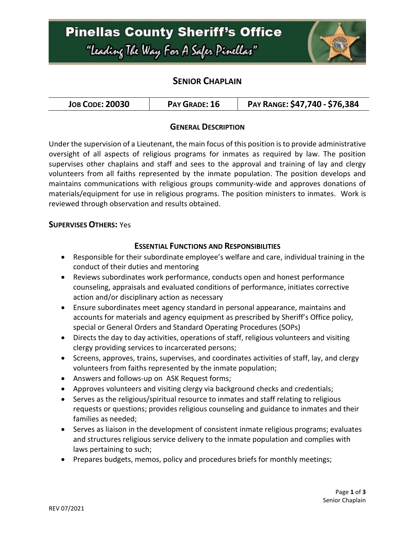# **Pinellas County Sheriff's Office** "Leading The Way For A Safer Pinellar"



## **SENIOR CHAPLAIN**

| <b>JOB CODE: 20030</b> | PAY GRADE: 16 | PAY RANGE: \$47,740 - \$76,384 |
|------------------------|---------------|--------------------------------|
|------------------------|---------------|--------------------------------|

### **GENERAL DESCRIPTION**

Under the supervision of a Lieutenant, the main focus of this position is to provide administrative oversight of all aspects of religious programs for inmates as required by law. The position supervises other chaplains and staff and sees to the approval and training of lay and clergy volunteers from all faiths represented by the inmate population. The position develops and maintains communications with religious groups community-wide and approves donations of materials/equipment for use in religious programs. The position ministers to inmates. Work is reviewed through observation and results obtained.

#### **SUPERVISES OTHERS:** Yes

#### **ESSENTIAL FUNCTIONS AND RESPONSIBILITIES**

- Responsible for their subordinate employee's welfare and care, individual training in the conduct of their duties and mentoring
- Reviews subordinates work performance, conducts open and honest performance counseling, appraisals and evaluated conditions of performance, initiates corrective action and/or disciplinary action as necessary
- Ensure subordinates meet agency standard in personal appearance, maintains and accounts for materials and agency equipment as prescribed by Sheriff's Office policy, special or General Orders and Standard Operating Procedures (SOPs)
- Directs the day to day activities, operations of staff, religious volunteers and visiting clergy providing services to incarcerated persons;
- Screens, approves, trains, supervises, and coordinates activities of staff, lay, and clergy volunteers from faiths represented by the inmate population;
- Answers and follows-up on ASK Request forms;
- Approves volunteers and visiting clergy via background checks and credentials;
- Serves as the religious/spiritual resource to inmates and staff relating to religious requests or questions; provides religious counseling and guidance to inmates and their families as needed;
- Serves as liaison in the development of consistent inmate religious programs; evaluates and structures religious service delivery to the inmate population and complies with laws pertaining to such;
- Prepares budgets, memos, policy and procedures briefs for monthly meetings;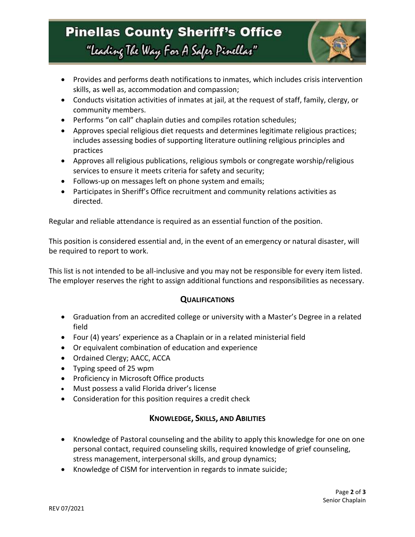# **Pinellas County Sheriff's Office** "Leading The Way For A Safer Pinellar"



- Provides and performs death notifications to inmates, which includes crisis intervention skills, as well as, accommodation and compassion;
- Conducts visitation activities of inmates at jail, at the request of staff, family, clergy, or community members.
- Performs "on call" chaplain duties and compiles rotation schedules;
- Approves special religious diet requests and determines legitimate religious practices; includes assessing bodies of supporting literature outlining religious principles and practices
- Approves all religious publications, religious symbols or congregate worship/religious services to ensure it meets criteria for safety and security;
- Follows-up on messages left on phone system and emails;
- Participates in Sheriff's Office recruitment and community relations activities as directed.

Regular and reliable attendance is required as an essential function of the position.

This position is considered essential and, in the event of an emergency or natural disaster, will be required to report to work.

This list is not intended to be all-inclusive and you may not be responsible for every item listed. The employer reserves the right to assign additional functions and responsibilities as necessary.

### **QUALIFICATIONS**

- Graduation from an accredited college or university with a Master's Degree in a related field
- Four (4) years' experience as a Chaplain or in a related ministerial field
- Or equivalent combination of education and experience
- Ordained Clergy; AACC, ACCA
- Typing speed of 25 wpm
- Proficiency in Microsoft Office products
- Must possess a valid Florida driver's license
- Consideration for this position requires a credit check

#### **KNOWLEDGE, SKILLS, AND ABILITIES**

- Knowledge of Pastoral counseling and the ability to apply this knowledge for one on one personal contact, required counseling skills, required knowledge of grief counseling, stress management, interpersonal skills, and group dynamics;
- Knowledge of CISM for intervention in regards to inmate suicide;